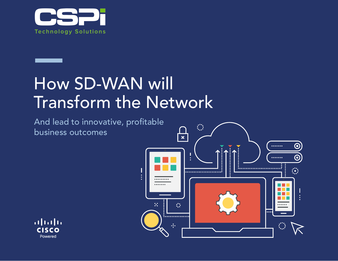

# How SD-WAN will Transform the Network

And lead to innovative, profitable business outcomes



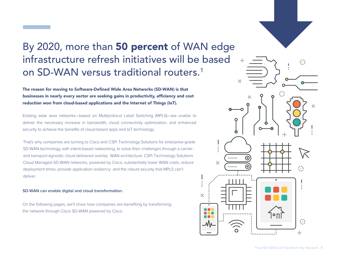### By 2020, more than 50 percent of WAN edge infrastructure refresh initiatives will be based on SD-WAN versus traditional routers.<sup>1</sup>

The reason for moving to Software-Defined Wide Area Networks (SD-WAN) is that businesses in nearly every sector are seeking gains in productivity, efficiency and cost reduction won from cloud-based applications and the Internet of Things (IoT).

Existing wide area networks—based on Multiprotocol Label Switching (MPLS)—are unable to deliver the necessary increase in bandwidth, cloud connectivity optimization, and enhanced security to achieve the benefits of cloud-based apps and IoT technology.

That's why companies are turning to Cisco and CSPi Technology Solutions for enterprise-grade SD-WAN technology, with intent-based networking, to solve their challenges through a carrierand transport-agnostic cloud-delivered overlay WAN architecture. CSPi Technology Solutions Cloud Managed SD-WAN networks, powered by Cisco, substantially lower WAN costs, reduce deployment times, provide application resiliency and the robust security that MPLS can't deliver.

#### **SD-WAN can enable digital and cloud transformation.**

On the following pages, we'll show how companies are benefiting by transforming the network through Cisco SD-WAN powered by Cisco.



 $\mathcal{A}^{\star}_{\bullet}$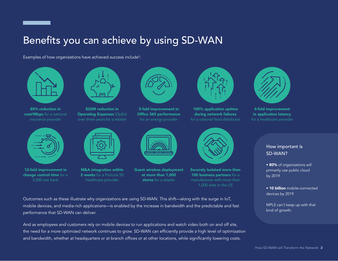### Benefits you can achieve by using SD-WAN

Examples of how organizations have achieved success include<sup>2</sup>:



80% reduction in cost/Mbps for a national insurance provider



12-fold improvement in change control time for a 3,000-site bank



\$20M reduction in Operating Expenses (OpEx) over three years for a retailer



M&A integration within 2 weeks for a Fortune 50 healthcare provider



5-fold improvement in Office 365 performance for an energy provider



Guest wireless deployment at more than 1,000 stores for a retailer



100% application uptime during network failures for a national food distributor



Securely isolated more than 100 business partners for a manufacturer with more than 1,000 sites in the US



4-fold improvement in application latency for a healthcare provider

#### How important is SD-WAN?

• 80% of organizations will primarily use public cloud by 2019

• 10 billion mobile-connected devices by 2019

MPLS can't keep up with that kind of growth.

Outcomes such as these illustrate why organizations are using SD-WAN. This shift—along with the surge in IoT, mobile devices, and media-rich applications—is enabled by the increase in bandwidth and the predictable and fast performance that SD-WAN can deliver.

And as employees and customers rely on mobile devices to run applications and watch video both on and off site, the need for a more optimized network continues to grow. SD-WAN can efficiently provide a high level of optimization and bandwidth, whether at headquarters or at branch offices or at other locations, while significantly lowering costs.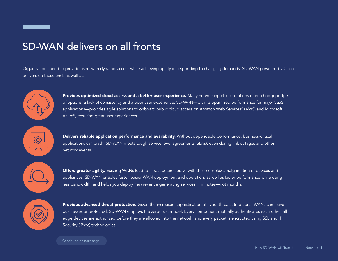#### SD-WAN delivers on all fronts

Organizations need to provide users with dynamic access while achieving agility in responding to changing demands. SD-WAN powered by Cisco delivers on those ends as well as:



Provides optimized cloud access and a better user experience. Many networking cloud solutions offer a hodgepodge of options, a lack of consistency and a poor user experience. SD-WAN—with its optimized performance for major SaaS applications—provides agile solutions to onboard public cloud access on Amazon Web Services® (AWS) and Microsoft Azure®, ensuring great user experiences.



Delivers reliable application performance and availability. Without dependable performance, business-critical applications can crash. SD-WAN meets tough service level agreements (SLAs), even during link outages and other network events.



**Offers greater agility.** Existing WANs lead to infrastructure sprawl with their complex amalgamation of devices and appliances. SD-WAN enables faster, easier WAN deployment and operation, as well as faster performance while using less bandwidth, and helps you deploy new revenue generating services in minutes—not months.



Provides advanced threat protection. Given the increased sophistication of cyber threats, traditional WANs can leave businesses unprotected. SD-WAN employs the zero-trust model. Every component mutually authenticates each other, all edge devices are authorized before they are allowed into the network, and every packet is encrypted using SSL and IP Security (IPsec) technologies.

Continued on next page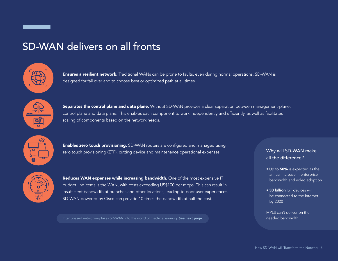#### SD-WAN delivers on all fronts



**Ensures a resilient network.** Traditional WANs can be prone to faults, even during normal operations. SD-WAN is designed for fail over and to choose best or optimized path at all times.



Separates the control plane and data plane. Without SD-WAN provides a clear separation between management-plane, control plane and data plane. This enables each component to work independently and efficiently, as well as facilitates scaling of components based on the network needs.



**Enables zero touch provisioning.** SD-WAN routers are configured and managed using zero touch provisioning (ZTP), cutting device and maintenance operational expenses.



Reduces WAN expenses while increasing bandwidth. One of the most expensive IT budget line items is the WAN, with costs exceeding US\$100 per mbps. This can result in insufficient bandwidth at branches and other locations, leading to poor user experiences. SD-WAN powered by Cisco can provide 10 times the bandwidth at half the cost.

Intent-based networking takes SD-WAN into the world of machine learning. See next page. Network has needed bandwidth.

#### Why will SD-WAN make all the difference?

- Up to 50% is expected as the annual increase in enterprise bandwidth and video adoption
- 30 billion IoT devices will be connected to the internet by 2020
- MPLS can't deliver on the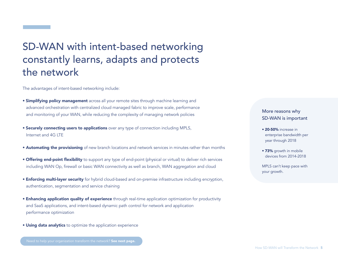### SD-WAN with intent-based networking constantly learns, adapts and protects the network

The advantages of intent-based networking include:

- **Simplifying policy management** across all your remote sites through machine learning and advanced orchestration with centralized cloud managed fabric to improve scale, performance and monitoring of your WAN, while reducing the complexity of managing network policies
- Securely connecting users to applications over any type of connection including MPLS, Internet and 4G LTE
- Automating the provisioning of new branch locations and network services in minutes rather than months
- Offering end-point flexibility to support any type of end-point (physical or virtual) to deliver rich services including WAN Op, firewall or basic WAN connectivity as well as branch, WAN aggregation and cloud
- Enforcing multi-layer security for hybrid cloud-based and on-premise infrastructure including encryption, authentication, segmentation and service chaining
- Enhancing application quality of experience through real-time application optimization for productivity and SaaS applications, and intent-based dynamic path control for network and application performance optimization
- Using data analytics to optimize the application experience

Need to help your organization transform the network? See next page.

#### More reasons why SD-WAN is important

- 20-50% increase in enterprise bandwidth per year through 2018
- 73% growth in mobile devices from 2014-2018

MPLS can't keep pace with your growth.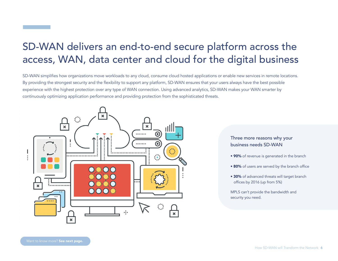#### SD-WAN delivers an end-to-end secure platform across the access, WAN, data center and cloud for the digital business

SD-WAN simplifies how organizations move workloads to any cloud, consume cloud hosted applications or enable new services in remote locations. By providing the strongest security and the flexibility to support any platform, SD-WAN ensures that your users always have the best possible experience with the highest protection over any type of WAN connection. Using advanced analytics, SD-WAN makes your WAN smarter by continuously optimizing application performance and providing protection from the sophisticated threats.



Three more reasons why your business needs SD-WAN

- 90% of revenue is generated in the branch
- 80% of users are served by the branch office
- 30% of advanced threats will target branch offices by 2016 (up from 5%)

MPLS can't provide the bandwidth and security you need.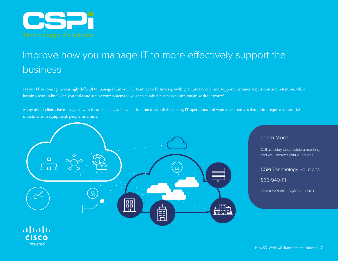

## Improve how you manage IT to more effectively support the business

Is your IT becoming increasingly difficult to manage? Can your IT team drive business growth, plan proactively, and support customer acquisition and retention, while keeping costs in line? Can you scale and secure your systems so you can conduct business continuously, without worry?

Many of our clients have struggled with these challenges. They felt frustrated with their existing IT operations and wanted alternatives that didn't require substantial investments in equipment, people, and time.